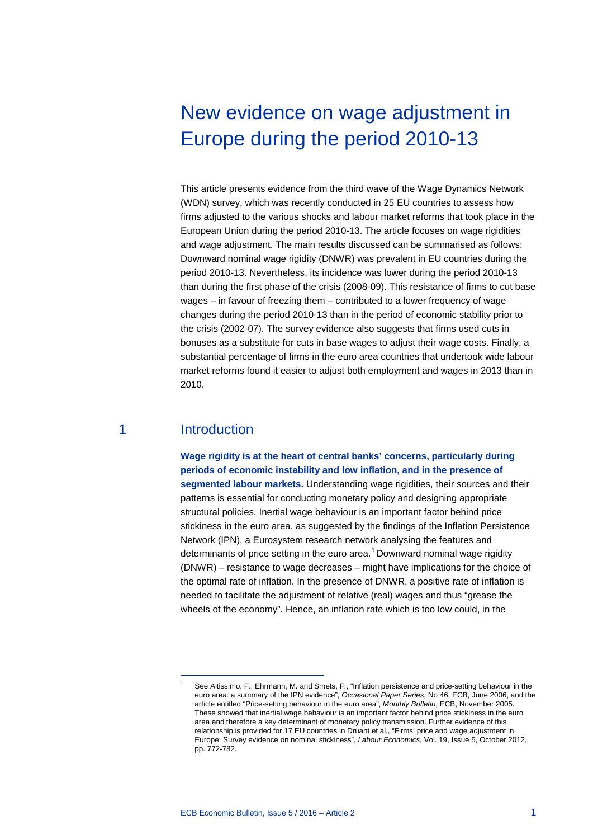# New evidence on wage adjustment in Europe during the period 2010-13

This article presents evidence from the third wave of the Wage Dynamics Network (WDN) survey, which was recently conducted in 25 EU countries to assess how firms adjusted to the various shocks and labour market reforms that took place in the European Union during the period 2010-13. The article focuses on wage rigidities and wage adjustment. The main results discussed can be summarised as follows: Downward nominal wage rigidity (DNWR) was prevalent in EU countries during the period 2010-13. Nevertheless, its incidence was lower during the period 2010-13 than during the first phase of the crisis (2008-09). This resistance of firms to cut base wages – in favour of freezing them – contributed to a lower frequency of wage changes during the period 2010-13 than in the period of economic stability prior to the crisis (2002-07). The survey evidence also suggests that firms used cuts in bonuses as a substitute for cuts in base wages to adjust their wage costs. Finally, a substantial percentage of firms in the euro area countries that undertook wide labour market reforms found it easier to adjust both employment and wages in 2013 than in 2010.

# 1 Introduction

<span id="page-0-0"></span>-

**Wage rigidity is at the heart of central banks' concerns, particularly during periods of economic instability and low inflation, and in the presence of segmented labour markets.** Understanding wage rigidities, their sources and their patterns is essential for conducting monetary policy and designing appropriate structural policies. Inertial wage behaviour is an important factor behind price stickiness in the euro area, as suggested by the findings of the Inflation Persistence Network (IPN), a Eurosystem research network analysing the features and determinants of price setting in the euro area.<sup>[1](#page-0-0)</sup> Downward nominal wage rigidity (DNWR) – resistance to wage decreases – might have implications for the choice of the optimal rate of inflation. In the presence of DNWR, a positive rate of inflation is needed to facilitate the adjustment of relative (real) wages and thus "grease the wheels of the economy". Hence, an inflation rate which is too low could, in the

See Altissimo, F., Ehrmann, M. and Smets, F., "Inflation persistence and price-setting behaviour in the euro area: a summary of the IPN evidence", *Occasional Paper Series*, No 46, ECB, June 2006, and the article entitled "Price-setting behaviour in the euro area", *Monthly Bulletin*, ECB, November 2005. These showed that inertial wage behaviour is an important factor behind price stickiness in the euro area and therefore a key determinant of monetary policy transmission. Further evidence of this relationship is provided for 17 EU countries in Druant et al., "Firms' price and wage adjustment in Europe: Survey evidence on nominal stickiness", *Labour Economics*, Vol. 19, Issue 5, October 2012, pp. 772-782.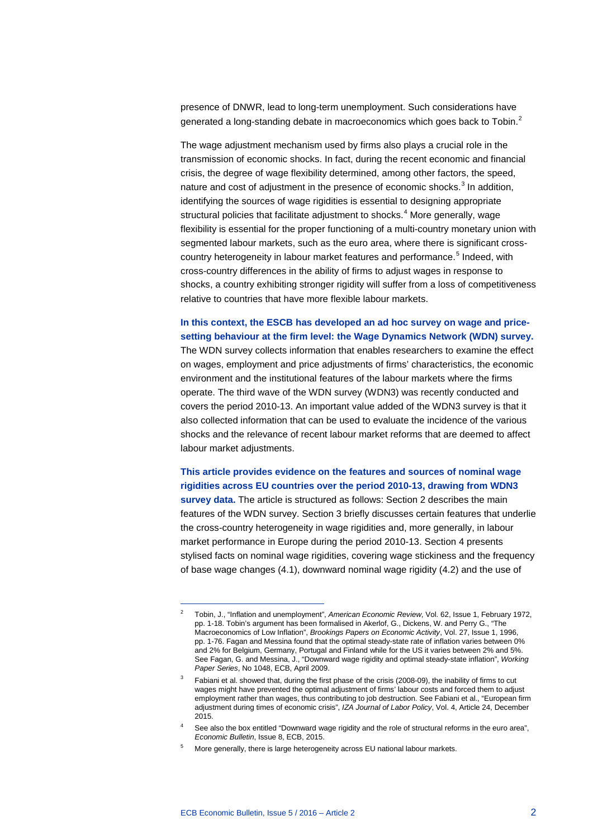presence of DNWR, lead to long-term unemployment. Such considerations have generated a long-standing debate in macroeconomics which goes back to Tobin.<sup>[2](#page-1-0)</sup>

The wage adjustment mechanism used by firms also plays a crucial role in the transmission of economic shocks. In fact, during the recent economic and financial crisis, the degree of wage flexibility determined, among other factors, the speed, nature and cost of adjustment in the presence of economic shocks. $3$  In addition, identifying the sources of wage rigidities is essential to designing appropriate structural policies that facilitate adjustment to shocks.<sup>[4](#page-1-2)</sup> More generally, wage flexibility is essential for the proper functioning of a multi-country monetary union with segmented labour markets, such as the euro area, where there is significant cross-country heterogeneity in labour market features and performance.<sup>[5](#page-1-3)</sup> Indeed, with cross-country differences in the ability of firms to adjust wages in response to shocks, a country exhibiting stronger rigidity will suffer from a loss of competitiveness relative to countries that have more flexible labour markets.

# **In this context, the ESCB has developed an ad hoc survey on wage and pricesetting behaviour at the firm level: the Wage Dynamics Network (WDN) survey.**

The WDN survey collects information that enables researchers to examine the effect on wages, employment and price adjustments of firms' characteristics, the economic environment and the institutional features of the labour markets where the firms operate. The third wave of the WDN survey (WDN3) was recently conducted and covers the period 2010-13. An important value added of the WDN3 survey is that it also collected information that can be used to evaluate the incidence of the various shocks and the relevance of recent labour market reforms that are deemed to affect labour market adjustments.

**This article provides evidence on the features and sources of nominal wage rigidities across EU countries over the period 2010-13, drawing from WDN3 survey data.** The article is structured as follows: Section 2 describes the main features of the WDN survey. Section 3 briefly discusses certain features that underlie the cross-country heterogeneity in wage rigidities and, more generally, in labour market performance in Europe during the period 2010-13. Section 4 presents stylised facts on nominal wage rigidities, covering wage stickiness and the frequency of base wage changes (4.1), downward nominal wage rigidity (4.2) and the use of

<span id="page-1-0"></span><sup>2</sup> Tobin, J., "Inflation and unemployment", *American Economic Review*, Vol. 62, Issue 1, February 1972, pp. 1-18. Tobin's argument has been formalised in Akerlof, G., Dickens, W. and Perry G., "The Macroeconomics of Low Inflation", *Brookings Papers on Economic Activity*, Vol. 27, Issue 1, 1996, pp. 1-76. Fagan and Messina found that the optimal steady-state rate of inflation varies between 0% and 2% for Belgium, Germany, Portugal and Finland while for the US it varies between 2% and 5%. See Fagan, G. and Messina, J., "Downward wage rigidity and optimal steady-state inflation", *Working Paper Series*, No 1048, ECB, April 2009.

<span id="page-1-1"></span>Fabiani et al. showed that, during the first phase of the crisis (2008-09), the inability of firms to cut wages might have prevented the optimal adjustment of firms' labour costs and forced them to adjust employment rather than wages, thus contributing to job destruction. See Fabiani et al., "European firm adjustment during times of economic crisis", *IZA Journal of Labor Policy*, Vol. 4, Article 24, December 2015.

<span id="page-1-2"></span>See also the box entitled "Downward wage rigidity and the role of structural reforms in the euro area", *Economic Bulletin*, Issue 8, ECB, 2015.

<span id="page-1-3"></span>More generally, there is large heterogeneity across EU national labour markets.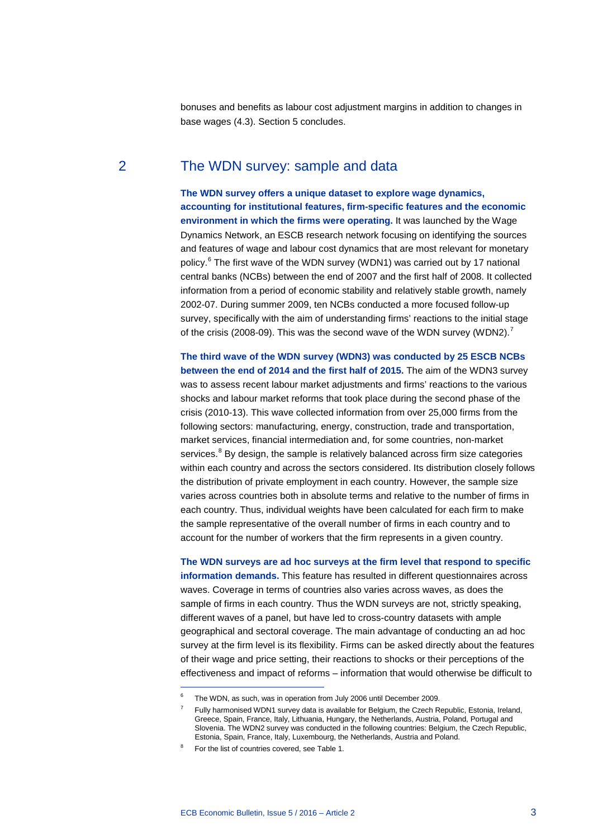bonuses and benefits as labour cost adjustment margins in addition to changes in base wages (4.3). Section 5 concludes.

# 2 The WDN survey: sample and data

**The WDN survey offers a unique dataset to explore wage dynamics, accounting for institutional features, firm-specific features and the economic environment in which the firms were operating.** It was launched by the Wage Dynamics Network, an ESCB research network focusing on identifying the sources and features of wage and labour cost dynamics that are most relevant for monetary policy.[6](#page-2-0) The first wave of the WDN survey (WDN1) was carried out by 17 national central banks (NCBs) between the end of 2007 and the first half of 2008. It collected information from a period of economic stability and relatively stable growth, namely 2002-07. During summer 2009, ten NCBs conducted a more focused follow-up survey, specifically with the aim of understanding firms' reactions to the initial stage of the crisis (2008-09). This was the second wave of the WDN survey (WDN2).<sup>[7](#page-2-1)</sup>

**The third wave of the WDN survey (WDN3) was conducted by 25 ESCB NCBs between the end of 2014 and the first half of 2015.** The aim of the WDN3 survey was to assess recent labour market adjustments and firms' reactions to the various shocks and labour market reforms that took place during the second phase of the crisis (2010-13). This wave collected information from over 25,000 firms from the following sectors: manufacturing, energy, construction, trade and transportation, market services, financial intermediation and, for some countries, non-market services.<sup>[8](#page-2-2)</sup> By design, the sample is relatively balanced across firm size categories within each country and across the sectors considered. Its distribution closely follows the distribution of private employment in each country. However, the sample size varies across countries both in absolute terms and relative to the number of firms in each country. Thus, individual weights have been calculated for each firm to make the sample representative of the overall number of firms in each country and to account for the number of workers that the firm represents in a given country.

**The WDN surveys are ad hoc surveys at the firm level that respond to specific information demands.** This feature has resulted in different questionnaires across waves. Coverage in terms of countries also varies across waves, as does the sample of firms in each country. Thus the WDN surveys are not, strictly speaking, different waves of a panel, but have led to cross-country datasets with ample geographical and sectoral coverage. The main advantage of conducting an ad hoc survey at the firm level is its flexibility. Firms can be asked directly about the features of their wage and price setting, their reactions to shocks or their perceptions of the effectiveness and impact of reforms – information that would otherwise be difficult to

<span id="page-2-1"></span><span id="page-2-0"></span>The WDN, as such, was in operation from July 2006 until December 2009.

<sup>7</sup> Fully harmonised WDN1 survey data is available for Belgium, the Czech Republic, Estonia, Ireland, Greece, Spain, France, Italy, Lithuania, Hungary, the Netherlands, Austria, Poland, Portugal and Slovenia. The WDN2 survey was conducted in the following countries: Belgium, the Czech Republic, Estonia, Spain, France, Italy, Luxembourg, the Netherlands, Austria and Poland.

<span id="page-2-2"></span>For the list of countries covered, see Table 1.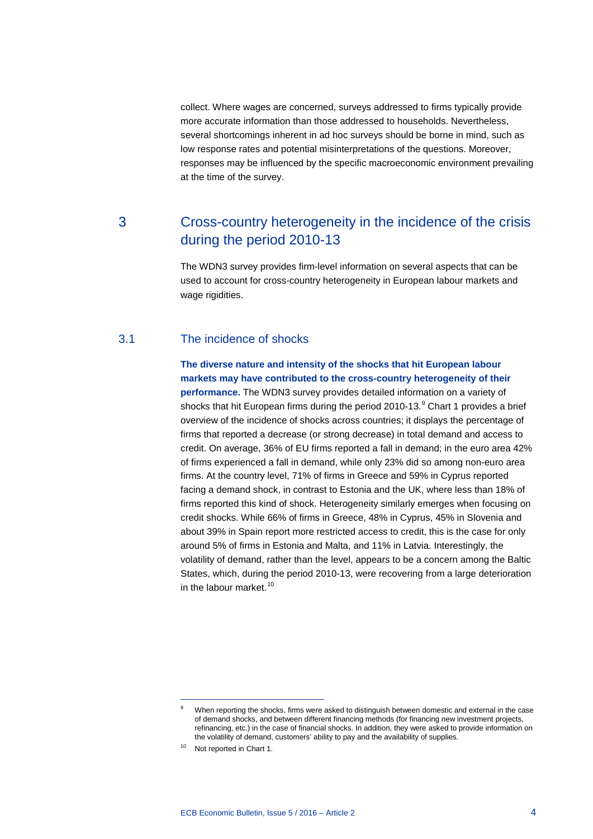collect. Where wages are concerned, surveys addressed to firms typically provide more accurate information than those addressed to households. Nevertheless, several shortcomings inherent in ad hoc surveys should be borne in mind, such as low response rates and potential misinterpretations of the questions. Moreover, responses may be influenced by the specific macroeconomic environment prevailing at the time of the survey.

# 3 Cross-country heterogeneity in the incidence of the crisis during the period 2010-13

The WDN3 survey provides firm-level information on several aspects that can be used to account for cross-country heterogeneity in European labour markets and wage rigidities.

## 3.1 The incidence of shocks

**The diverse nature and intensity of the shocks that hit European labour markets may have contributed to the cross-country heterogeneity of their performance.** The WDN3 survey provides detailed information on a variety of shocks that hit European firms during the period 2010-13. $^9$  $^9$  Chart 1 provides a brief overview of the incidence of shocks across countries; it displays the percentage of firms that reported a decrease (or strong decrease) in total demand and access to credit. On average, 36% of EU firms reported a fall in demand; in the euro area 42% of firms experienced a fall in demand, while only 23% did so among non-euro area firms. At the country level, 71% of firms in Greece and 59% in Cyprus reported facing a demand shock, in contrast to Estonia and the UK, where less than 18% of firms reported this kind of shock. Heterogeneity similarly emerges when focusing on credit shocks. While 66% of firms in Greece, 48% in Cyprus, 45% in Slovenia and about 39% in Spain report more restricted access to credit, this is the case for only around 5% of firms in Estonia and Malta, and 11% in Latvia. Interestingly, the volatility of demand, rather than the level, appears to be a concern among the Baltic States, which, during the period 2010-13, were recovering from a large deterioration in the labour market. $10$ 

<span id="page-3-0"></span>When reporting the shocks, firms were asked to distinguish between domestic and external in the case of demand shocks, and between different financing methods (for financing new investment projects, refinancing, etc.) in the case of financial shocks. In addition, they were asked to provide information on the volatility of demand, customers' ability to pay and the availability of supplies.

<span id="page-3-1"></span><sup>&</sup>lt;sup>10</sup> Not reported in Chart 1.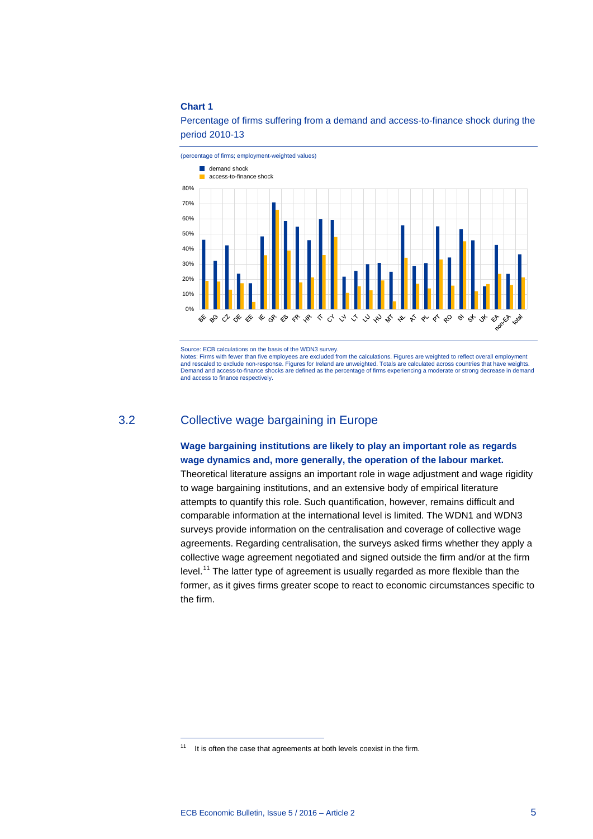#### **Chart 1**



Percentage of firms suffering from a demand and access-to-finance shock during the period 2010-13

Source: ECB calculations on the basis of the WDN3 survey.

Notes: Firms with fewer than five employees are excluded from the calculations. Figures are weighted to reflect overall employment and rescaled to exclude non-response. Figures for Ireland are unweighted. Totals are calculated across countries that have weights. Demand and access-to-finance shocks are defined as the percentage of firms experiencing a moderate or strong decrease in demand and access to finance respectively.

# 3.2 Collective wage bargaining in Europe

### **Wage bargaining institutions are likely to play an important role as regards wage dynamics and, more generally, the operation of the labour market.**

Theoretical literature assigns an important role in wage adjustment and wage rigidity to wage bargaining institutions, and an extensive body of empirical literature attempts to quantify this role. Such quantification, however, remains difficult and comparable information at the international level is limited. The WDN1 and WDN3 surveys provide information on the centralisation and coverage of collective wage agreements. Regarding centralisation, the surveys asked firms whether they apply a collective wage agreement negotiated and signed outside the firm and/or at the firm level.<sup>[11](#page-4-0)</sup> The latter type of agreement is usually regarded as more flexible than the former, as it gives firms greater scope to react to economic circumstances specific to the firm.

<span id="page-4-0"></span> $11$  It is often the case that agreements at both levels coexist in the firm.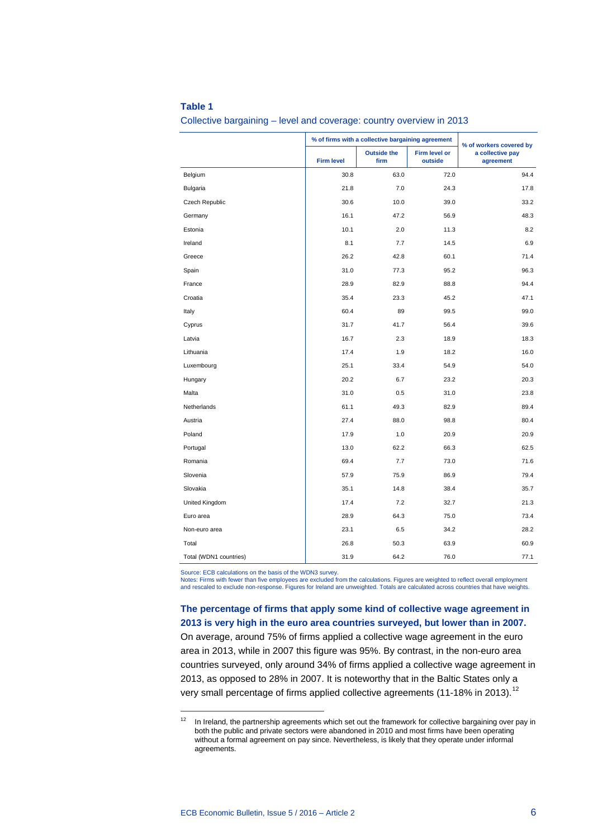#### **Table 1**

Collective bargaining – level and coverage: country overview in 2013

|                        | % of firms with a collective bargaining agreement | % of workers covered by    |                          |                               |
|------------------------|---------------------------------------------------|----------------------------|--------------------------|-------------------------------|
|                        | <b>Firm level</b>                                 | <b>Outside the</b><br>firm | Firm level or<br>outside | a collective pay<br>agreement |
| Belgium                | 30.8                                              | 63.0                       | 72.0                     | 94.4                          |
| Bulgaria               | 21.8                                              | 7.0                        | 24.3                     | 17.8                          |
| Czech Republic         | 30.6                                              | 10.0                       | 39.0                     | 33.2                          |
| Germany                | 16.1                                              | 47.2                       | 56.9                     | 48.3                          |
| Estonia                | 10.1                                              | 2.0                        | 11.3                     | 8.2                           |
| Ireland                | 8.1                                               | 7.7                        | 14.5                     | 6.9                           |
| Greece                 | 26.2                                              | 42.8                       | 60.1                     | 71.4                          |
| Spain                  | 31.0                                              | 77.3                       | 95.2                     | 96.3                          |
| France                 | 28.9                                              | 82.9                       | 88.8                     | 94.4                          |
| Croatia                | 35.4                                              | 23.3                       | 45.2                     | 47.1                          |
| Italy                  | 60.4                                              | 89                         | 99.5                     | 99.0                          |
| Cyprus                 | 31.7                                              | 41.7                       | 56.4                     | 39.6                          |
| Latvia                 | 16.7                                              | 2.3                        | 18.9                     | 18.3                          |
| Lithuania              | 17.4                                              | 1.9                        | 18.2                     | 16.0                          |
| Luxembourg             | 25.1                                              | 33.4                       | 54.9                     | 54.0                          |
| Hungary                | 20.2                                              | 6.7                        | 23.2                     | 20.3                          |
| Malta                  | 31.0                                              | 0.5                        | 31.0                     | 23.8                          |
| Netherlands            | 61.1                                              | 49.3                       | 82.9                     | 89.4                          |
| Austria                | 27.4                                              | 88.0                       | 98.8                     | 80.4                          |
| Poland                 | 17.9                                              | 1.0                        | 20.9                     | 20.9                          |
| Portugal               | 13.0                                              | 62.2                       | 66.3                     | 62.5                          |
| Romania                | 69.4                                              | 7.7                        | 73.0                     | 71.6                          |
| Slovenia               | 57.9                                              | 75.9                       | 86.9                     | 79.4                          |
| Slovakia               | 35.1                                              | 14.8                       | 38.4                     | 35.7                          |
| United Kingdom         | 17.4                                              | 7.2                        | 32.7                     | 21.3                          |
| Euro area              | 28.9                                              | 64.3                       | 75.0                     | 73.4                          |
| Non-euro area          | 23.1                                              | 6.5                        | 34.2                     | 28.2                          |
| Total                  | 26.8                                              | 50.3                       | 63.9                     | 60.9                          |
| Total (WDN1 countries) | 31.9                                              | 64.2                       | 76.0                     | 77.1                          |

Source: ECB calculations on the basis of the WDN3 survey.

-

Notes: Firms with fewer than five employees are excluded from the calculations. Figures are weighted to reflect overall employment and rescaled to exclude non-response. Figures for Ireland are unweighted. Totals are calculated across countries that have weights.

**The percentage of firms that apply some kind of collective wage agreement in 2013 is very high in the euro area countries surveyed, but lower than in 2007.** On average, around 75% of firms applied a collective wage agreement in the euro area in 2013, while in 2007 this figure was 95%. By contrast, in the non-euro area countries surveyed, only around 34% of firms applied a collective wage agreement in 2013, as opposed to 28% in 2007. It is noteworthy that in the Baltic States only a very small percentage of firms applied collective agreements (11-18% in 2013).<sup>[12](#page-5-0)</sup>

<span id="page-5-0"></span><sup>&</sup>lt;sup>12</sup> In Ireland, the partnership agreements which set out the framework for collective bargaining over pay in both the public and private sectors were abandoned in 2010 and most firms have been operating without a formal agreement on pay since. Nevertheless, is likely that they operate under informal agreements.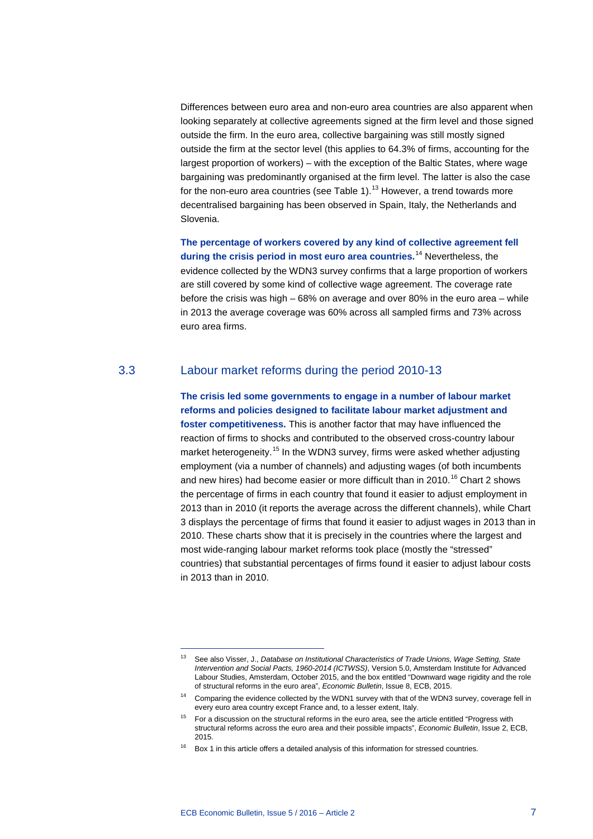Differences between euro area and non-euro area countries are also apparent when looking separately at collective agreements signed at the firm level and those signed outside the firm. In the euro area, collective bargaining was still mostly signed outside the firm at the sector level (this applies to 64.3% of firms, accounting for the largest proportion of workers) – with the exception of the Baltic States, where wage bargaining was predominantly organised at the firm level. The latter is also the case for the non-euro area countries (see Table 1). $^{13}$  $^{13}$  $^{13}$  However, a trend towards more decentralised bargaining has been observed in Spain, Italy, the Netherlands and Slovenia.

**The percentage of workers covered by any kind of collective agreement fell during the crisis period in most euro area countries.** [14](#page-6-1) Nevertheless, the evidence collected by the WDN3 survey confirms that a large proportion of workers are still covered by some kind of collective wage agreement. The coverage rate before the crisis was high – 68% on average and over 80% in the euro area – while in 2013 the average coverage was 60% across all sampled firms and 73% across euro area firms.

# 3.3 Labour market reforms during the period 2010-13

**The crisis led some governments to engage in a number of labour market reforms and policies designed to facilitate labour market adjustment and foster competitiveness.** This is another factor that may have influenced the reaction of firms to shocks and contributed to the observed cross-country labour market heterogeneity.<sup>[15](#page-6-2)</sup> In the WDN3 survey, firms were asked whether adjusting employment (via a number of channels) and adjusting wages (of both incumbents and new hires) had become easier or more difficult than in 2010.<sup>[16](#page-6-3)</sup> Chart 2 shows the percentage of firms in each country that found it easier to adjust employment in 2013 than in 2010 (it reports the average across the different channels), while Chart 3 displays the percentage of firms that found it easier to adjust wages in 2013 than in 2010. These charts show that it is precisely in the countries where the largest and most wide-ranging labour market reforms took place (mostly the "stressed" countries) that substantial percentages of firms found it easier to adjust labour costs in 2013 than in 2010.

<span id="page-6-0"></span><sup>13</sup> See also Visser, J., *Database on Institutional Characteristics of Trade Unions, Wage Setting, State Intervention and Social Pacts, 1960-2014 (ICTWSS)*, Version 5.0, Amsterdam Institute for Advanced Labour Studies, Amsterdam, October 2015, and the box entitled "Downward wage rigidity and the role of structural reforms in the euro area", *Economic Bulletin*, Issue 8, ECB, 2015.

<span id="page-6-1"></span><sup>14</sup> Comparing the evidence collected by the WDN1 survey with that of the WDN3 survey, coverage fell in every euro area country except France and, to a lesser extent, Italy.

<span id="page-6-2"></span><sup>&</sup>lt;sup>15</sup> For a discussion on the structural reforms in the euro area, see the article entitled "Progress with structural reforms across the euro area and their possible impacts", *Economic Bulletin*, Issue 2, ECB, 2015.

<span id="page-6-3"></span><sup>&</sup>lt;sup>16</sup> Box 1 in this article offers a detailed analysis of this information for stressed countries.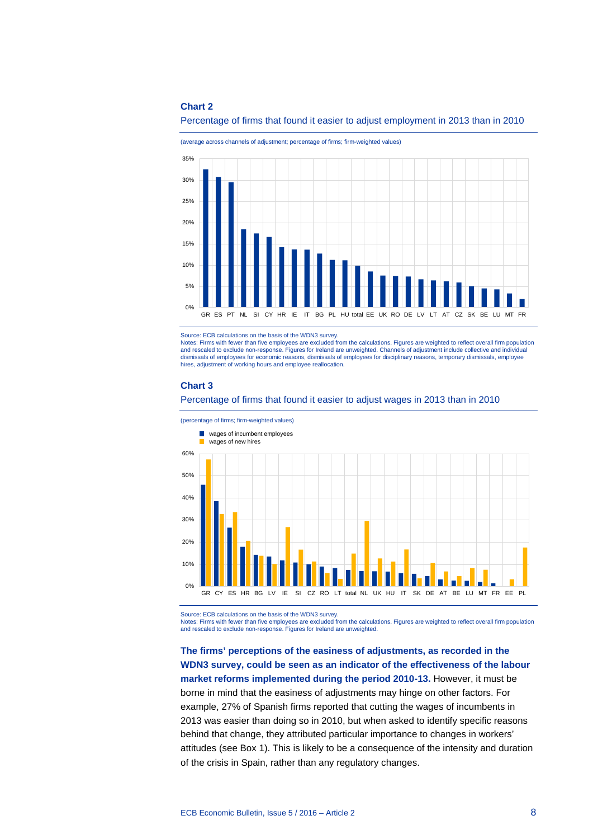#### **Chart 2**



(average across channels of adjustment; percentage of firms; firm-weighted values)



Source: ECB calculations on the basis of the WDN3 survey.

Notes: Firms with fewer than five employees are excluded from the calculations. Figures are weighted to reflect overall firm population<br>and rescaled to exclude non-response. Figures for Ireland are unweighted. Channels of dismissals of employees for economic reasons, dismissals of employees for disciplinary reasons, temporary dismissals, employee hires, adjustment of working hours and employee reallocation.

#### **Chart 3**

#### Percentage of firms that found it easier to adjust wages in 2013 than in 2010



Source: ECB calculations on the basis of the WDN3 survey.

Notes: Firms with fewer than five employees are excluded from the calculations. Figures are weighted to reflect overall firm population and rescaled to exclude non-response. Figures for Ireland are unweighted.

**The firms' perceptions of the easiness of adjustments, as recorded in the WDN3 survey, could be seen as an indicator of the effectiveness of the labour market reforms implemented during the period 2010-13.** However, it must be borne in mind that the easiness of adjustments may hinge on other factors. For example, 27% of Spanish firms reported that cutting the wages of incumbents in 2013 was easier than doing so in 2010, but when asked to identify specific reasons behind that change, they attributed particular importance to changes in workers' attitudes (see Box 1). This is likely to be a consequence of the intensity and duration of the crisis in Spain, rather than any regulatory changes.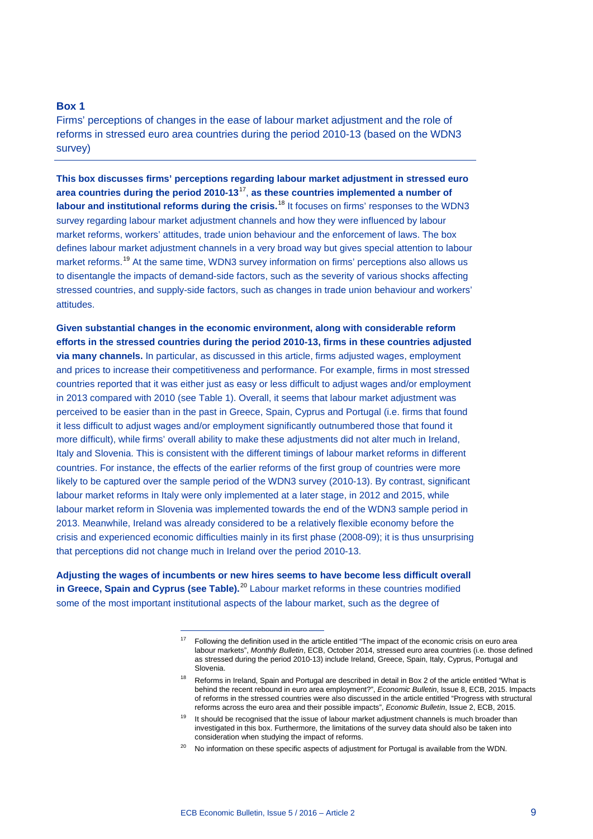#### **Box 1**

Firms' perceptions of changes in the ease of labour market adjustment and the role of reforms in stressed euro area countries during the period 2010-13 (based on the WDN3 survey)

**This box discusses firms' perceptions regarding labour market adjustment in stressed euro area countries during the period 2010-13**[17](#page-8-0), **as these countries implemented a number of labour and institutional reforms during the crisis.**[18](#page-8-1) It focuses on firms' responses to the WDN3 survey regarding labour market adjustment channels and how they were influenced by labour market reforms, workers' attitudes, trade union behaviour and the enforcement of laws. The box defines labour market adjustment channels in a very broad way but gives special attention to labour market reforms.<sup>[19](#page-8-2)</sup> At the same time, WDN3 survey information on firms' perceptions also allows us to disentangle the impacts of demand-side factors, such as the severity of various shocks affecting stressed countries, and supply-side factors, such as changes in trade union behaviour and workers' attitudes.

**Given substantial changes in the economic environment, along with considerable reform efforts in the stressed countries during the period 2010-13, firms in these countries adjusted via many channels.** In particular, as discussed in this article, firms adjusted wages, employment and prices to increase their competitiveness and performance. For example, firms in most stressed countries reported that it was either just as easy or less difficult to adjust wages and/or employment in 2013 compared with 2010 (see Table 1). Overall, it seems that labour market adjustment was perceived to be easier than in the past in Greece, Spain, Cyprus and Portugal (i.e. firms that found it less difficult to adjust wages and/or employment significantly outnumbered those that found it more difficult), while firms' overall ability to make these adjustments did not alter much in Ireland, Italy and Slovenia. This is consistent with the different timings of labour market reforms in different countries. For instance, the effects of the earlier reforms of the first group of countries were more likely to be captured over the sample period of the WDN3 survey (2010-13). By contrast, significant labour market reforms in Italy were only implemented at a later stage, in 2012 and 2015, while labour market reform in Slovenia was implemented towards the end of the WDN3 sample period in 2013. Meanwhile, Ireland was already considered to be a relatively flexible economy before the crisis and experienced economic difficulties mainly in its first phase (2008-09); it is thus unsurprising that perceptions did not change much in Ireland over the period 2010-13.

<span id="page-8-2"></span><span id="page-8-1"></span><span id="page-8-0"></span>**Adjusting the wages of incumbents or new hires seems to have become less difficult overall in Greece, Spain and Cyprus (see Table).**[20](#page-8-3) Labour market reforms in these countries modified some of the most important institutional aspects of the labour market, such as the degree of

<sup>&</sup>lt;sup>17</sup> Following the definition used in the article entitled "The impact of the economic crisis on euro area labour markets", *Monthly Bulletin*, ECB, October 2014, stressed euro area countries (i.e. those defined as stressed during the period 2010-13) include Ireland, Greece, Spain, Italy, Cyprus, Portugal and Slovenia.

<sup>&</sup>lt;sup>18</sup> Reforms in Ireland, Spain and Portugal are described in detail in Box 2 of the article entitled "What is behind the recent rebound in euro area employment?", *Economic Bulletin*, Issue 8, ECB, 2015. Impacts of reforms in the stressed countries were also discussed in the article entitled "Progress with structural reforms across the euro area and their possible impacts", *Economic Bulletin*, Issue 2, ECB, 2015.

 $19$  It should be recognised that the issue of labour market adjustment channels is much broader than investigated in this box. Furthermore, the limitations of the survey data should also be taken into consideration when studying the impact of reforms.

<span id="page-8-3"></span> $20$  No information on these specific aspects of adjustment for Portugal is available from the WDN.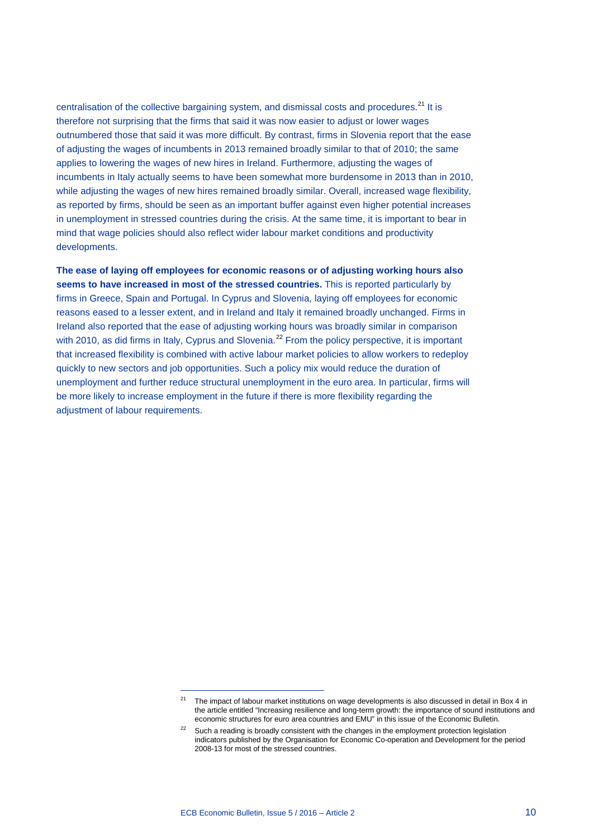centralisation of the collective bargaining system, and dismissal costs and procedures.<sup>[21](#page-9-0)</sup> It is therefore not surprising that the firms that said it was now easier to adjust or lower wages outnumbered those that said it was more difficult. By contrast, firms in Slovenia report that the ease of adjusting the wages of incumbents in 2013 remained broadly similar to that of 2010; the same applies to lowering the wages of new hires in Ireland. Furthermore, adjusting the wages of incumbents in Italy actually seems to have been somewhat more burdensome in 2013 than in 2010, while adjusting the wages of new hires remained broadly similar. Overall, increased wage flexibility, as reported by firms, should be seen as an important buffer against even higher potential increases in unemployment in stressed countries during the crisis. At the same time, it is important to bear in mind that wage policies should also reflect wider labour market conditions and productivity developments.

**The ease of laying off employees for economic reasons or of adjusting working hours also seems to have increased in most of the stressed countries.** This is reported particularly by firms in Greece, Spain and Portugal. In Cyprus and Slovenia, laying off employees for economic reasons eased to a lesser extent, and in Ireland and Italy it remained broadly unchanged. Firms in Ireland also reported that the ease of adjusting working hours was broadly similar in comparison with 2010, as did firms in Italy, Cyprus and Slovenia.<sup>[22](#page-9-1)</sup> From the policy perspective, it is important that increased flexibility is combined with active labour market policies to allow workers to redeploy quickly to new sectors and job opportunities. Such a policy mix would reduce the duration of unemployment and further reduce structural unemployment in the euro area. In particular, firms will be more likely to increase employment in the future if there is more flexibility regarding the adjustment of labour requirements.

<span id="page-9-0"></span><sup>21</sup> The impact of labour market institutions on wage developments is also discussed in detail in Box 4 in the article entitled "Increasing resilience and long-term growth: the importance of sound institutions and economic structures for euro area countries and EMU" in this issue of the Economic Bulletin.

<span id="page-9-1"></span> $22$  Such a reading is broadly consistent with the changes in the employment protection legislation indicators published by the Organisation for Economic Co-operation and Development for the period 2008-13 for most of the stressed countries.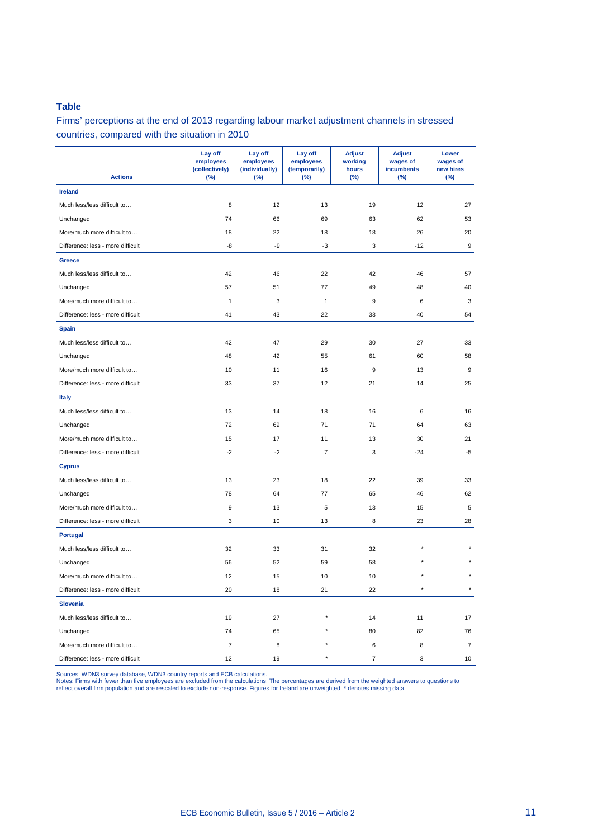# **Table**

Firms' perceptions at the end of 2013 regarding labour market adjustment channels in stressed countries, compared with the situation in 2010

| <b>Actions</b>                    | Lay off<br>employees<br>(collectively)<br>(%) | Lay off<br>employees<br>(individually)<br>(%) | Lay off<br>employees<br>(temporarily)<br>(%) | <b>Adjust</b><br>working<br>hours<br>(%) | <b>Adjust</b><br>wages of<br>incumbents<br>(%) | Lower<br>wages of<br>new hires<br>(%) |
|-----------------------------------|-----------------------------------------------|-----------------------------------------------|----------------------------------------------|------------------------------------------|------------------------------------------------|---------------------------------------|
| <b>Ireland</b>                    |                                               |                                               |                                              |                                          |                                                |                                       |
| Much less/less difficult to       | 8                                             | 12                                            | 13                                           | 19                                       | 12                                             | 27                                    |
| Unchanged                         | 74                                            | 66                                            | 69                                           | 63                                       | 62                                             | 53                                    |
| More/much more difficult to       | 18                                            | 22                                            | 18                                           | 18                                       | 26                                             | 20                                    |
| Difference: less - more difficult | -8                                            | -9                                            | $-3$                                         | 3                                        | $-12$                                          | 9                                     |
| Greece                            |                                               |                                               |                                              |                                          |                                                |                                       |
| Much less/less difficult to       | 42                                            | 46                                            | 22                                           | 42                                       | 46                                             | 57                                    |
| Unchanged                         | 57                                            | 51                                            | 77                                           | 49                                       | 48                                             | 40                                    |
| More/much more difficult to       | $\mathbf{1}$                                  | 3                                             | $\mathbf{1}$                                 | 9                                        | 6                                              | 3                                     |
| Difference: less - more difficult | 41                                            | 43                                            | 22                                           | 33                                       | 40                                             | 54                                    |
| <b>Spain</b>                      |                                               |                                               |                                              |                                          |                                                |                                       |
| Much less/less difficult to       | 42                                            | 47                                            | 29                                           | 30                                       | 27                                             | 33                                    |
| Unchanged                         | 48                                            | 42                                            | 55                                           | 61                                       | 60                                             | 58                                    |
| More/much more difficult to       | 10                                            | 11                                            | 16                                           | 9                                        | 13                                             | 9                                     |
| Difference: less - more difficult | 33                                            | 37                                            | 12                                           | 21                                       | 14                                             | 25                                    |
| <b>Italy</b>                      |                                               |                                               |                                              |                                          |                                                |                                       |
| Much less/less difficult to       | 13                                            | 14                                            | 18                                           | 16                                       | 6                                              | 16                                    |
| Unchanged                         | 72                                            | 69                                            | 71                                           | 71                                       | 64                                             | 63                                    |
| More/much more difficult to       | 15                                            | 17                                            | 11                                           | 13                                       | 30                                             | 21                                    |
| Difference: less - more difficult | $-2$                                          | $-2$                                          | $\overline{\mathcal{I}}$                     | 3                                        | $-24$                                          | $-5$                                  |
| <b>Cyprus</b>                     |                                               |                                               |                                              |                                          |                                                |                                       |
| Much less/less difficult to       | 13                                            | 23                                            | 18                                           | 22                                       | 39                                             | 33                                    |
| Unchanged                         | 78                                            | 64                                            | 77                                           | 65                                       | 46                                             | 62                                    |
| More/much more difficult to       | 9                                             | 13                                            | 5                                            | 13                                       | 15                                             | 5                                     |
| Difference: less - more difficult | 3                                             | 10                                            | 13                                           | 8                                        | 23                                             | 28                                    |
| <b>Portugal</b>                   |                                               |                                               |                                              |                                          |                                                |                                       |
| Much less/less difficult to       | 32                                            | 33                                            | 31                                           | 32                                       |                                                |                                       |
| Unchanged                         | 56                                            | 52                                            | 59                                           | 58                                       |                                                |                                       |
| More/much more difficult to       | 12                                            | 15                                            | 10                                           | 10                                       |                                                |                                       |
| Difference: less - more difficult | 20                                            | 18                                            | 21                                           | 22                                       |                                                |                                       |
| <b>Slovenia</b>                   |                                               |                                               |                                              |                                          |                                                |                                       |
| Much less/less difficult to       | 19                                            | 27                                            |                                              | 14                                       | 11                                             | 17                                    |
| Unchanged                         | 74                                            | 65                                            |                                              | 80                                       | 82                                             | 76                                    |
| More/much more difficult to       | 7                                             | 8                                             |                                              | 6                                        | 8                                              | $\overline{7}$                        |
| Difference: less - more difficult | 12                                            | 19                                            |                                              | $\overline{7}$                           | 3                                              | 10                                    |

Sources: WDN3 survey database, WDN3 country reports and ECB calculations.<br>Notes: Firms with fewer than five employees are excluded from the calculations. The percentages are derived from the weighted answers to questions t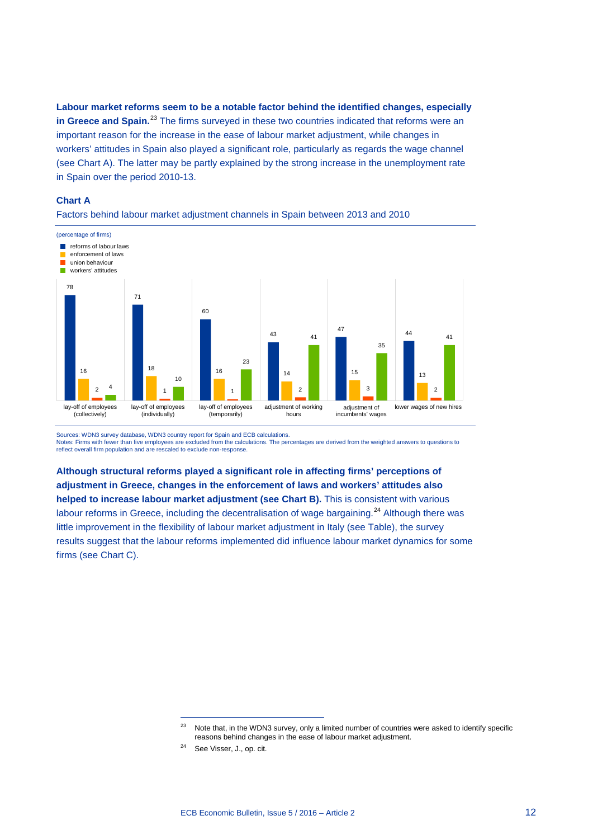**Labour market reforms seem to be a notable factor behind the identified changes, especially**  in Greece and Spain.<sup>[23](#page-11-0)</sup> The firms surveyed in these two countries indicated that reforms were an important reason for the increase in the ease of labour market adjustment, while changes in workers' attitudes in Spain also played a significant role, particularly as regards the wage channel (see Chart A). The latter may be partly explained by the strong increase in the unemployment rate in Spain over the period 2010-13.

#### **Chart A**



Factors behind labour market adjustment channels in Spain between 2013 and 2010

Sources: WDN3 survey database, WDN3 country report for Spain and ECB calculations.

Notes: Firms with fewer than five employees are excluded from the calculations. The percentages are derived from the weighted answers to questions to reflect overall firm population and are rescaled to exclude non-response.

**Although structural reforms played a significant role in affecting firms' perceptions of adjustment in Greece, changes in the enforcement of laws and workers' attitudes also helped to increase labour market adjustment (see Chart B).** This is consistent with various labour reforms in Greece, including the decentralisation of wage bargaining.<sup>[24](#page-11-1)</sup> Although there was little improvement in the flexibility of labour market adjustment in Italy (see Table), the survey results suggest that the labour reforms implemented did influence labour market dynamics for some firms (see Chart C).

<span id="page-11-0"></span><sup>&</sup>lt;sup>23</sup> Note that, in the WDN3 survey, only a limited number of countries were asked to identify specific reasons behind changes in the ease of labour market adjustment.

<span id="page-11-1"></span><sup>24</sup> See Visser, J., op. cit.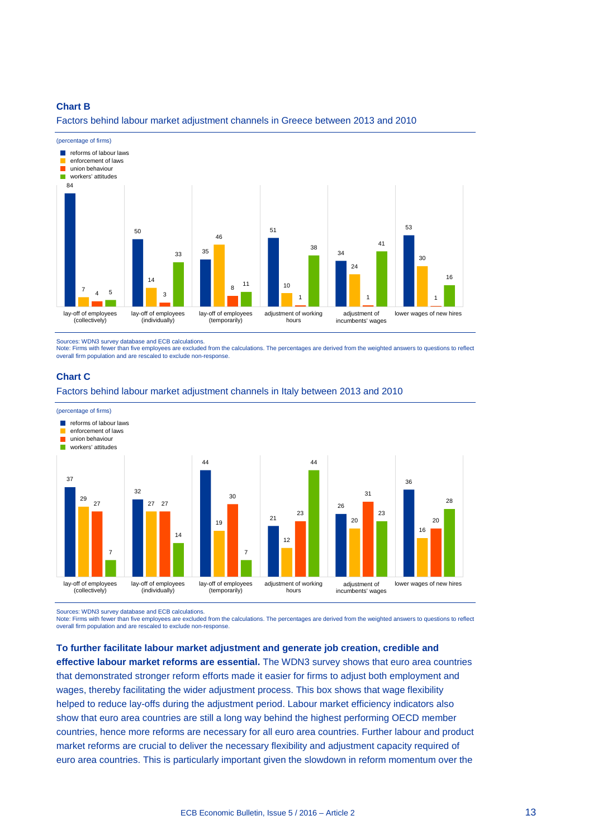#### **Chart B**

Factors behind labour market adjustment channels in Greece between 2013 and 2010



Sources: WDN3 survey database and ECB calculations.

Note: Firms with fewer than five employees are excluded from the calculations. The percentages are derived from the weighted answers to questions to reflect overall firm population and are rescaled to exclude non-response.

#### **Chart C**

Factors behind labour market adjustment channels in Italy between 2013 and 2010



Sources: WDN3 survey database and ECB calculations.<br>Note: Firms with fewer than five employees are excluded from the calculations. The percentages are derived from the weighted answers to questions to reflect overall firm population and are rescaled to exclude non-response.

**To further facilitate labour market adjustment and generate job creation, credible and effective labour market reforms are essential.** The WDN3 survey shows that euro area countries that demonstrated stronger reform efforts made it easier for firms to adjust both employment and wages, thereby facilitating the wider adjustment process. This box shows that wage flexibility helped to reduce lay-offs during the adjustment period. Labour market efficiency indicators also show that euro area countries are still a long way behind the highest performing OECD member countries, hence more reforms are necessary for all euro area countries. Further labour and product market reforms are crucial to deliver the necessary flexibility and adjustment capacity required of euro area countries. This is particularly important given the slowdown in reform momentum over the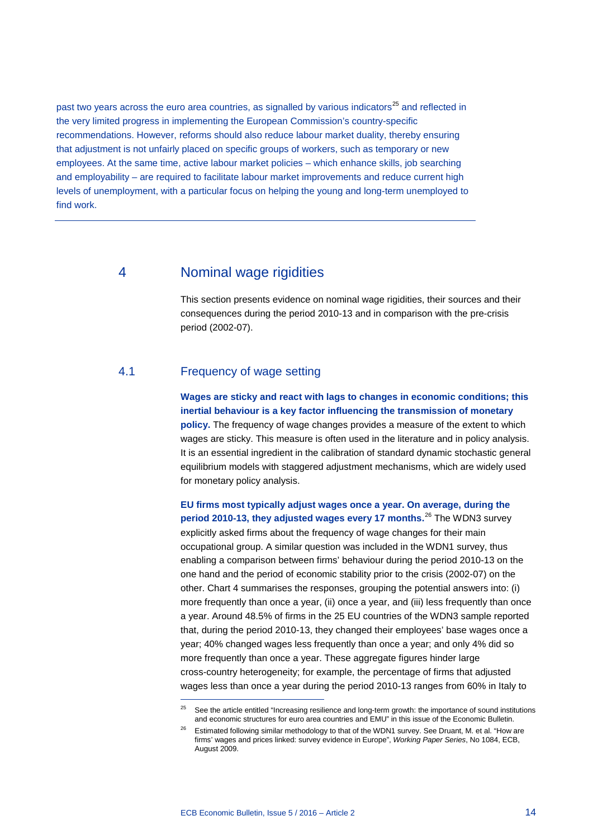past two years across the euro area countries, as signalled by various indicators<sup>[25](#page-13-0)</sup> and reflected in the very limited progress in implementing the European Commission's country-specific recommendations. However, reforms should also reduce labour market duality, thereby ensuring that adjustment is not unfairly placed on specific groups of workers, such as temporary or new employees. At the same time, active labour market policies – which enhance skills, job searching and employability – are required to facilitate labour market improvements and reduce current high levels of unemployment, with a particular focus on helping the young and long-term unemployed to find work.

# 4 Nominal wage rigidities

This section presents evidence on nominal wage rigidities, their sources and their consequences during the period 2010-13 and in comparison with the pre-crisis period (2002-07).

# 4.1 Frequency of wage setting

-

**Wages are sticky and react with lags to changes in economic conditions; this inertial behaviour is a key factor influencing the transmission of monetary policy.** The frequency of wage changes provides a measure of the extent to which wages are sticky. This measure is often used in the literature and in policy analysis. It is an essential ingredient in the calibration of standard dynamic stochastic general equilibrium models with staggered adjustment mechanisms, which are widely used for monetary policy analysis.

**EU firms most typically adjust wages once a year. On average, during the period 2010-13, they adjusted wages every 17 months.**[26](#page-13-1) The WDN3 survey explicitly asked firms about the frequency of wage changes for their main occupational group. A similar question was included in the WDN1 survey, thus enabling a comparison between firms' behaviour during the period 2010-13 on the one hand and the period of economic stability prior to the crisis (2002-07) on the other. Chart 4 summarises the responses, grouping the potential answers into: (i) more frequently than once a year, (ii) once a year, and (iii) less frequently than once a year. Around 48.5% of firms in the 25 EU countries of the WDN3 sample reported that, during the period 2010-13, they changed their employees' base wages once a year; 40% changed wages less frequently than once a year; and only 4% did so more frequently than once a year. These aggregate figures hinder large cross-country heterogeneity; for example, the percentage of firms that adjusted wages less than once a year during the period 2010-13 ranges from 60% in Italy to

<span id="page-13-0"></span><sup>&</sup>lt;sup>25</sup> See the article entitled "Increasing resilience and long-term growth: the importance of sound institutions and economic structures for euro area countries and EMU" in this issue of the Economic Bulletin.

<span id="page-13-1"></span><sup>&</sup>lt;sup>26</sup> Estimated following similar methodology to that of the WDN1 survey. See Druant, M. et al. "How are firms' wages and prices linked: survey evidence in Europe", *Working Paper Series*, No 1084, ECB, August 2009.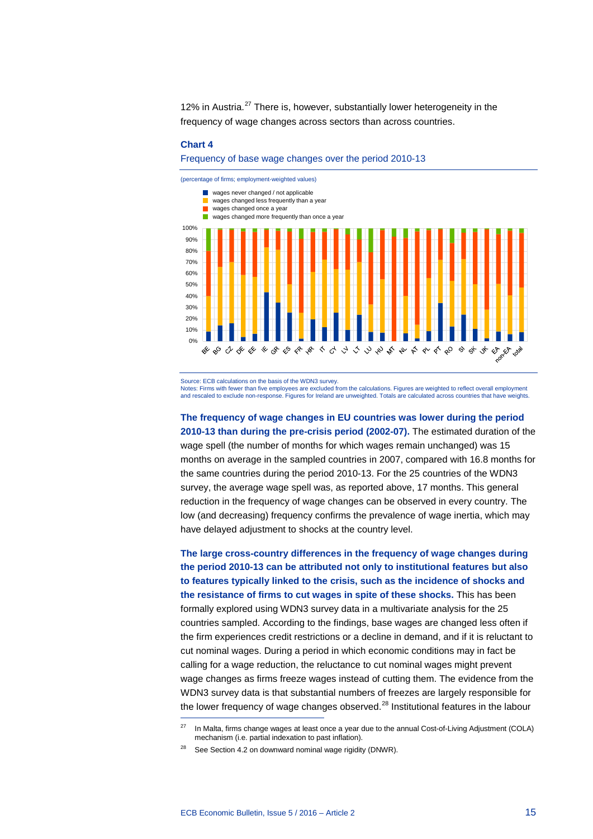12% in Austria.<sup>[27](#page-14-0)</sup> There is, however, substantially lower heterogeneity in the frequency of wage changes across sectors than across countries.

#### **Chart 4**

#### Frequency of base wage changes over the period 2010-13



Source: ECB calculations on the basis of the WDN3 survey.

Notes: Firms with fewer than five employees are excluded from the calculations. Figures are weighted to reflect overall employment and rescaled to exclude non-response. Figures for Ireland are unweighted. Totals are calculated across countries that have weights.

**The frequency of wage changes in EU countries was lower during the period 2010-13 than during the pre-crisis period (2002-07).** The estimated duration of the wage spell (the number of months for which wages remain unchanged) was 15 months on average in the sampled countries in 2007, compared with 16.8 months for the same countries during the period 2010-13. For the 25 countries of the WDN3 survey, the average wage spell was, as reported above, 17 months. This general reduction in the frequency of wage changes can be observed in every country. The low (and decreasing) frequency confirms the prevalence of wage inertia, which may have delayed adjustment to shocks at the country level.

**The large cross-country differences in the frequency of wage changes during the period 2010-13 can be attributed not only to institutional features but also to features typically linked to the crisis, such as the incidence of shocks and the resistance of firms to cut wages in spite of these shocks.** This has been formally explored using WDN3 survey data in a multivariate analysis for the 25 countries sampled. According to the findings, base wages are changed less often if the firm experiences credit restrictions or a decline in demand, and if it is reluctant to cut nominal wages. During a period in which economic conditions may in fact be calling for a wage reduction, the reluctance to cut nominal wages might prevent wage changes as firms freeze wages instead of cutting them. The evidence from the WDN3 survey data is that substantial numbers of freezes are largely responsible for the lower frequency of wage changes observed.<sup>[28](#page-14-1)</sup> Institutional features in the labour

<span id="page-14-0"></span><sup>&</sup>lt;sup>27</sup> In Malta, firms change wages at least once a year due to the annual Cost-of-Living Adjustment (COLA) mechanism (i.e. partial indexation to past inflation).

<span id="page-14-1"></span>See Section 4.2 on downward nominal wage rigidity (DNWR).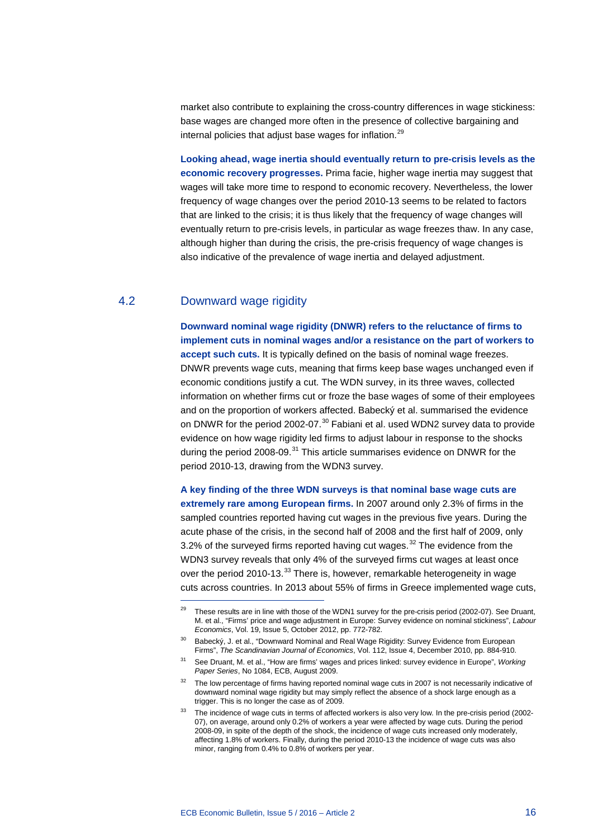market also contribute to explaining the cross-country differences in wage stickiness: base wages are changed more often in the presence of collective bargaining and internal policies that adjust base wages for inflation.<sup>[29](#page-15-0)</sup>

**Looking ahead, wage inertia should eventually return to pre-crisis levels as the economic recovery progresses.** Prima facie, higher wage inertia may suggest that wages will take more time to respond to economic recovery. Nevertheless, the lower frequency of wage changes over the period 2010-13 seems to be related to factors that are linked to the crisis; it is thus likely that the frequency of wage changes will eventually return to pre-crisis levels, in particular as wage freezes thaw. In any case, although higher than during the crisis, the pre-crisis frequency of wage changes is also indicative of the prevalence of wage inertia and delayed adjustment.

# 4.2 Downward wage rigidity

-

**Downward nominal wage rigidity (DNWR) refers to the reluctance of firms to implement cuts in nominal wages and/or a resistance on the part of workers to accept such cuts.** It is typically defined on the basis of nominal wage freezes. DNWR prevents wage cuts, meaning that firms keep base wages unchanged even if economic conditions justify a cut. The WDN survey, in its three waves, collected information on whether firms cut or froze the base wages of some of their employees and on the proportion of workers affected. Babecký et al. summarised the evidence on DNWR for the period 2002-07.<sup>[30](#page-15-1)</sup> Fabiani et al. used WDN2 survey data to provide evidence on how wage rigidity led firms to adjust labour in response to the shocks during the period 2008-09.<sup>[31](#page-15-2)</sup> This article summarises evidence on DNWR for the period 2010-13, drawing from the WDN3 survey.

**A key finding of the three WDN surveys is that nominal base wage cuts are extremely rare among European firms.** In 2007 around only 2.3% of firms in the sampled countries reported having cut wages in the previous five years. During the acute phase of the crisis, in the second half of 2008 and the first half of 2009, only 3.2% of the surveyed firms reported having cut wages.<sup>[32](#page-15-3)</sup> The evidence from the WDN3 survey reveals that only 4% of the surveyed firms cut wages at least once over the period 2010-13.<sup>[33](#page-15-4)</sup> There is, however, remarkable heterogeneity in wage cuts across countries. In 2013 about 55% of firms in Greece implemented wage cuts,

<sup>&</sup>lt;sup>29</sup> These results are in line with those of the WDN1 survey for the pre-crisis period (2002-07). See Druant, M. et al., "Firms' price and wage adjustment in Europe: Survey evidence on nominal stickiness", *Labour Economics*, Vol. 19, Issue 5, October 2012, pp. 772-782.

<span id="page-15-1"></span><span id="page-15-0"></span><sup>&</sup>lt;sup>30</sup> Babecký, J. et al., "Downward Nominal and Real Wage Rigidity: Survey Evidence from European Firms", *The Scandinavian Journal of Economics*, Vol. 112, Issue 4, December 2010, pp. 884-910.

<sup>31</sup> See Druant, M. et al., "How are firms' wages and prices linked: survey evidence in Europe", *Working Paper Series*, No 1084, ECB, August 2009.

<span id="page-15-3"></span><span id="page-15-2"></span><sup>&</sup>lt;sup>32</sup> The low percentage of firms having reported nominal wage cuts in 2007 is not necessarily indicative of downward nominal wage rigidity but may simply reflect the absence of a shock large enough as a trigger. This is no longer the case as of 2009.

<span id="page-15-4"></span><sup>&</sup>lt;sup>33</sup> The incidence of wage cuts in terms of affected workers is also very low. In the pre-crisis period (2002-07), on average, around only 0.2% of workers a year were affected by wage cuts. During the period 2008-09, in spite of the depth of the shock, the incidence of wage cuts increased only moderately, affecting 1.8% of workers. Finally, during the period 2010-13 the incidence of wage cuts was also minor, ranging from 0.4% to 0.8% of workers per year.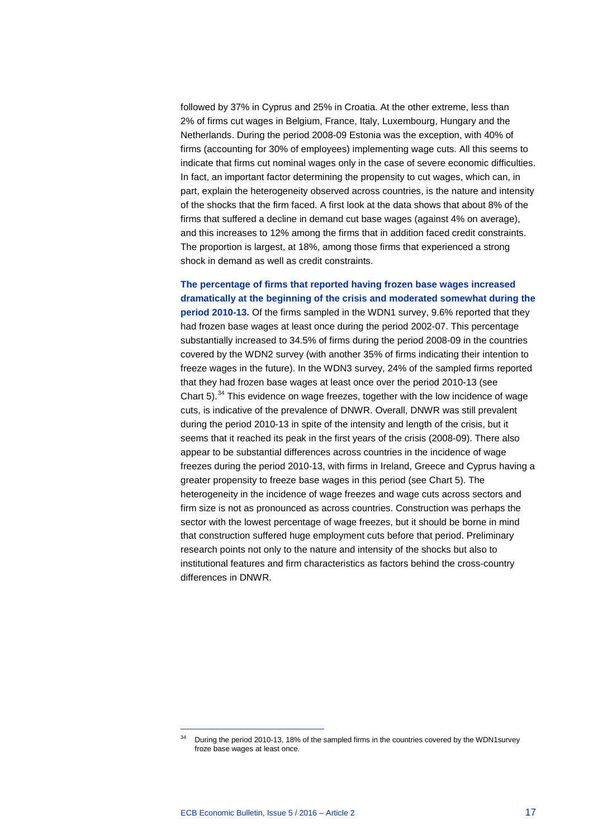followed by 37% in Cyprus and 25% in Croatia. At the other extreme, less than 2% of firms cut wages in Belgium, France, Italy, Luxembourg, Hungary and the Netherlands. During the period 2008-09 Estonia was the exception, with 40% of firms (accounting for 30% of employees) implementing wage cuts. All this seems to indicate that firms cut nominal wages only in the case of severe economic difficulties. In fact, an important factor determining the propensity to cut wages, which can, in part, explain the heterogeneity observed across countries, is the nature and intensity of the shocks that the firm faced. A first look at the data shows that about 8% of the firms that suffered a decline in demand cut base wages (against 4% on average), and this increases to 12% among the firms that in addition faced credit constraints. The proportion is largest, at 18%, among those firms that experienced a strong shock in demand as well as credit constraints.

**The percentage of firms that reported having frozen base wages increased dramatically at the beginning of the crisis and moderated somewhat during the period 2010-13.** Of the firms sampled in the WDN1 survey, 9.6% reported that they had frozen base wages at least once during the period 2002-07. This percentage substantially increased to 34.5% of firms during the period 2008-09 in the countries covered by the WDN2 survey (with another 35% of firms indicating their intention to freeze wages in the future). In the WDN3 survey, 24% of the sampled firms reported that they had frozen base wages at least once over the period 2010-13 (see Chart  $5$ ).<sup>[34](#page-16-0)</sup> This evidence on wage freezes, together with the low incidence of wage cuts, is indicative of the prevalence of DNWR. Overall, DNWR was still prevalent during the period 2010-13 in spite of the intensity and length of the crisis, but it seems that it reached its peak in the first years of the crisis (2008-09). There also appear to be substantial differences across countries in the incidence of wage freezes during the period 2010-13, with firms in Ireland, Greece and Cyprus having a greater propensity to freeze base wages in this period (see Chart 5). The heterogeneity in the incidence of wage freezes and wage cuts across sectors and firm size is not as pronounced as across countries. Construction was perhaps the sector with the lowest percentage of wage freezes, but it should be borne in mind that construction suffered huge employment cuts before that period. Preliminary research points not only to the nature and intensity of the shocks but also to institutional features and firm characteristics as factors behind the cross-country differences in DNWR.

<span id="page-16-0"></span>During the period 2010-13, 18% of the sampled firms in the countries covered by the WDN1survey froze base wages at least once.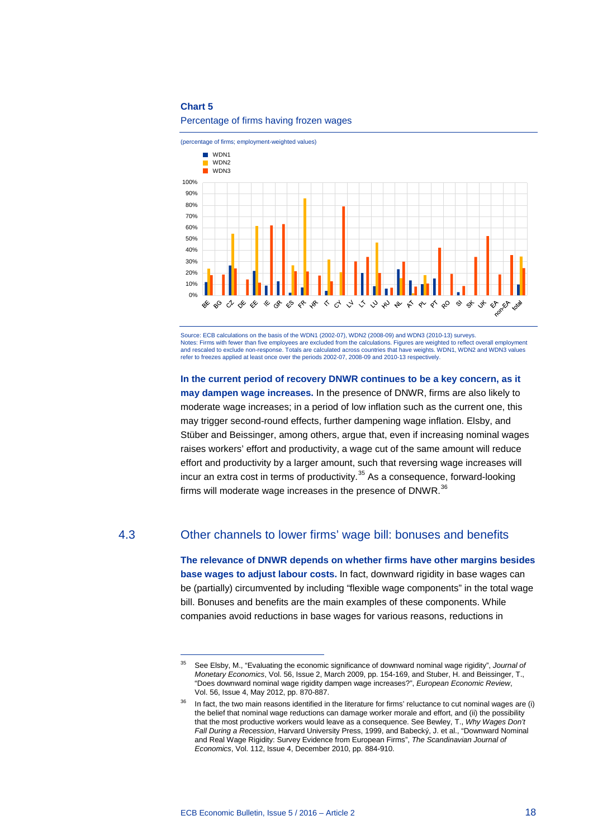#### **Chart 5**



#### Percentage of firms having frozen wages

Source: ECB calculations on the basis of the WDN1 (2002-07), WDN2 (2008-09) and WDN3 (2010-13) surveys. Notes: Firms with fewer than five employees are excluded from the calculations. Figures are weighted to reflect overall employment and rescaled to exclude non-response. Totals are calculated across countries that have weights. WDN1, WDN2 and WDN3 values refer to freezes applied at least once over the periods 2002-07, 2008-09 and 2010-13 respectively.

**In the current period of recovery DNWR continues to be a key concern, as it may dampen wage increases.** In the presence of DNWR, firms are also likely to moderate wage increases; in a period of low inflation such as the current one, this may trigger second-round effects, further dampening wage inflation. Elsby, and Stüber and Beissinger, among others, argue that, even if increasing nominal wages raises workers' effort and productivity, a wage cut of the same amount will reduce effort and productivity by a larger amount, such that reversing wage increases will incur an extra cost in terms of productivity.<sup>[35](#page-17-0)</sup> As a consequence, forward-looking firms will moderate wage increases in the presence of DNWR. $36$ 

### <span id="page-17-0"></span>4.3 Other channels to lower firms' wage bill: bonuses and benefits

**The relevance of DNWR depends on whether firms have other margins besides base wages to adjust labour costs.** In fact, downward rigidity in base wages can be (partially) circumvented by including "flexible wage components" in the total wage bill. Bonuses and benefits are the main examples of these components. While companies avoid reductions in base wages for various reasons, reductions in

<span id="page-17-1"></span><sup>35</sup> See Elsby, M., "Evaluating the economic significance of downward nominal wage rigidity", *Journal of Monetary Economics*, Vol. 56, Issue 2, March 2009, pp. 154-169, and Stuber, H. and Beissinger, T., "Does downward nominal wage rigidity dampen wage increases?", *European Economic Review*, Vol. 56, Issue 4, May 2012, pp. 870-887.

In fact, the two main reasons identified in the literature for firms' reluctance to cut nominal wages are (i) the belief that nominal wage reductions can damage worker morale and effort, and (ii) the possibility that the most productive workers would leave as a consequence. See Bewley, T., *Why Wages Don't Fall During a Recession*, Harvard University Press, 1999, and Babecký, J. et al., "Downward Nominal and Real Wage Rigidity: Survey Evidence from European Firms", *The Scandinavian Journal of Economics*, Vol. 112, Issue 4, December 2010, pp. 884-910.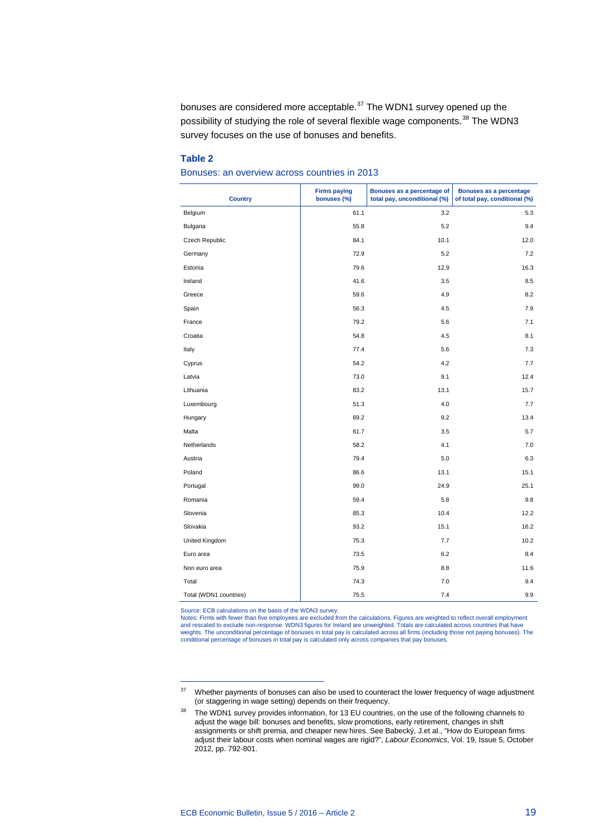bonuses are considered more acceptable.<sup>[37](#page-18-0)</sup> The WDN1 survey opened up the possibility of studying the role of several flexible wage components.<sup>[38](#page-18-1)</sup> The WDN3 survey focuses on the use of bonuses and benefits.

#### **Table 2**

Bonuses: an overview across countries in 2013

| <b>Country</b>         | <b>Firms paying</b><br>bonuses (%) | Bonuses as a percentage of<br>total pay, unconditional (%) | Bonuses as a percentage<br>of total pay, conditional (%) |
|------------------------|------------------------------------|------------------------------------------------------------|----------------------------------------------------------|
| Belgium                | 61.1                               | 3.2                                                        | 5.3                                                      |
| Bulgaria               | 55.8                               | 5.2                                                        | 9.4                                                      |
| Czech Republic         | 84.1                               | 10.1                                                       | 12.0                                                     |
| Germany                | 72.9                               | 5.2                                                        | 7.2                                                      |
| Estonia                | 79.6                               | 12.9                                                       | 16.3                                                     |
| Ireland                | 41.6                               | 3.5                                                        | 8.5                                                      |
| Greece                 | 59.6                               | 4.9                                                        | 8.2                                                      |
| Spain                  | 56.3                               | 4.5                                                        | 7.9                                                      |
| France                 | 79.2                               | 5.6                                                        | 7.1                                                      |
| Croatia                | 54.8                               | 4.5                                                        | 8.1                                                      |
| Italy                  | 77.4                               | 5.6                                                        | 7.3                                                      |
| Cyprus                 | 54.2                               | 4.2                                                        | 7.7                                                      |
| Latvia                 | 73.0                               | 9.1                                                        | 12.4                                                     |
| Lithuania              | 83.2                               | 13.1                                                       | 15.7                                                     |
| Luxembourg             | 51.3                               | 4.0                                                        | 7.7                                                      |
| Hungary                | 69.2                               | 9.2                                                        | 13.4                                                     |
| Malta                  | 61.7                               | 3.5                                                        | 5.7                                                      |
| Netherlands            | 58.2                               | 4.1                                                        | 7.0                                                      |
| Austria                | 79.4                               | 5.0                                                        | 6.3                                                      |
| Poland                 | 86.6                               | 13.1                                                       | 15.1                                                     |
| Portugal               | 99.0                               | 24.9                                                       | 25.1                                                     |
| Romania                | 59.4                               | 5.8                                                        | 9.8                                                      |
| Slovenia               | 85.3                               | 10.4                                                       | 12.2                                                     |
| Slovakia               | 93.2                               | 15.1                                                       | 16.2                                                     |
| United Kingdom         | 75.3                               | 7.7                                                        | 10.2                                                     |
| Euro area              | 73.5                               | 6.2                                                        | 8.4                                                      |
| Non euro area          | 75.9                               | 8.8                                                        | 11.6                                                     |
| Total                  | 74.3                               | 7.0                                                        | 9.4                                                      |
| Total (WDN1 countries) | 75.5                               | 7.4                                                        | 9.9                                                      |

Source: ECB calculations on the basis of the WDN3 survey.

-

Notes: Firms with fewer than five employees are excluded from the calculations. Figures are weighted to reflect overall employment<br>and rescaled to exclude non-response. WDN3 figures for Ireland are unweighted. Totals are c conditional percentage of bonuses in total pay is calculated only across companies that pay bonuses.

<span id="page-18-1"></span><span id="page-18-0"></span><sup>&</sup>lt;sup>37</sup> Whether payments of bonuses can also be used to counteract the lower frequency of wage adjustment (or staggering in wage setting) depends on their frequency.

<sup>&</sup>lt;sup>38</sup> The WDN1 survey provides information, for 13 EU countries, on the use of the following channels to adjust the wage bill: bonuses and benefits, slow promotions, early retirement, changes in shift assignments or shift premia, and cheaper new hires. See Babecký, J.et al., "How do European firms adjust their labour costs when nominal wages are rigid?", *Labour Economics*, Vol. 19, Issue 5, October 2012, pp. 792-801.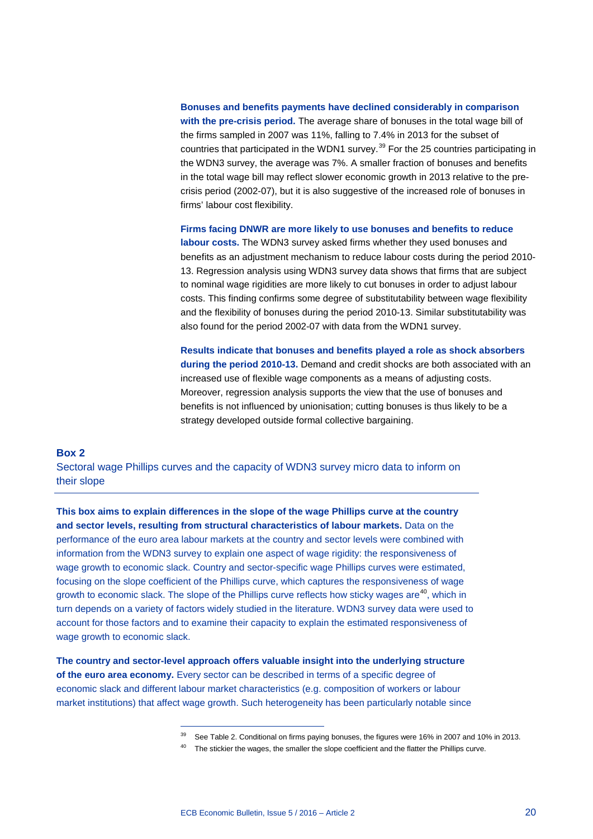**Bonuses and benefits payments have declined considerably in comparison with the pre-crisis period.** The average share of bonuses in the total wage bill of the firms sampled in 2007 was 11%, falling to 7.4% in 2013 for the subset of countries that participated in the WDN1 survey.<sup>[39](#page-19-0)</sup> For the 25 countries participating in the WDN3 survey, the average was 7%. A smaller fraction of bonuses and benefits in the total wage bill may reflect slower economic growth in 2013 relative to the precrisis period (2002-07), but it is also suggestive of the increased role of bonuses in firms' labour cost flexibility.

**Firms facing DNWR are more likely to use bonuses and benefits to reduce labour costs.** The WDN3 survey asked firms whether they used bonuses and benefits as an adjustment mechanism to reduce labour costs during the period 2010- 13. Regression analysis using WDN3 survey data shows that firms that are subject to nominal wage rigidities are more likely to cut bonuses in order to adjust labour costs. This finding confirms some degree of substitutability between wage flexibility and the flexibility of bonuses during the period 2010-13. Similar substitutability was also found for the period 2002-07 with data from the WDN1 survey.

**Results indicate that bonuses and benefits played a role as shock absorbers during the period 2010-13.** Demand and credit shocks are both associated with an increased use of flexible wage components as a means of adjusting costs. Moreover, regression analysis supports the view that the use of bonuses and benefits is not influenced by unionisation; cutting bonuses is thus likely to be a strategy developed outside formal collective bargaining.

#### **Box 2**

Sectoral wage Phillips curves and the capacity of WDN3 survey micro data to inform on their slope

**This box aims to explain differences in the slope of the wage Phillips curve at the country and sector levels, resulting from structural characteristics of labour markets.** Data on the performance of the euro area labour markets at the country and sector levels were combined with information from the WDN3 survey to explain one aspect of wage rigidity: the responsiveness of wage growth to economic slack. Country and sector-specific wage Phillips curves were estimated, focusing on the slope coefficient of the Phillips curve, which captures the responsiveness of wage growth to economic slack. The slope of the Phillips curve reflects how sticky wages are<sup>40</sup>, which in turn depends on a variety of factors widely studied in the literature. WDN3 survey data were used to account for those factors and to examine their capacity to explain the estimated responsiveness of wage growth to economic slack.

<span id="page-19-1"></span><span id="page-19-0"></span>**The country and sector-level approach offers valuable insight into the underlying structure of the euro area economy.** Every sector can be described in terms of a specific degree of economic slack and different labour market characteristics (e.g. composition of workers or labour market institutions) that affect wage growth. Such heterogeneity has been particularly notable since

<sup>&</sup>lt;sup>39</sup> See Table 2. Conditional on firms paying bonuses, the figures were 16% in 2007 and 10% in 2013.

 $40$  The stickier the wages, the smaller the slope coefficient and the flatter the Phillips curve.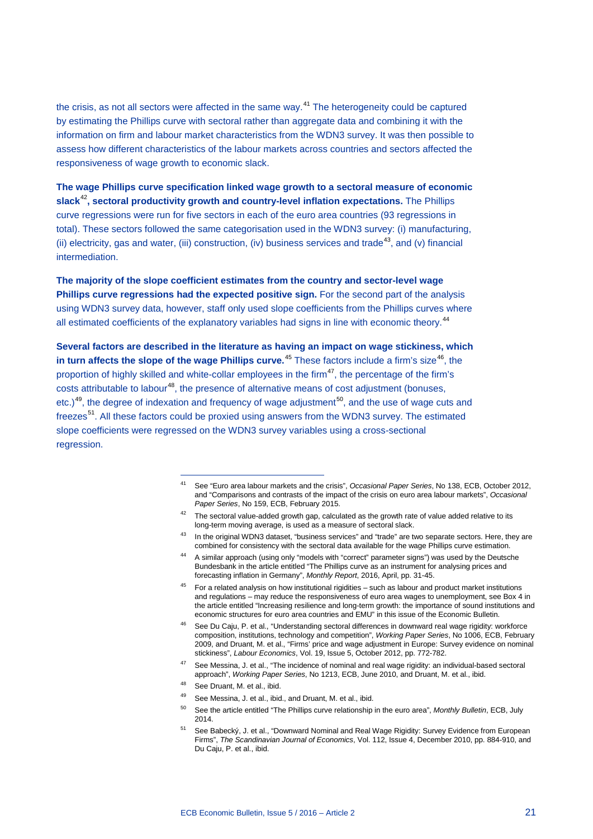the crisis, as not all sectors were affected in the same way.<sup>[41](#page-20-0)</sup> The heterogeneity could be captured by estimating the Phillips curve with sectoral rather than aggregate data and combining it with the information on firm and labour market characteristics from the WDN3 survey. It was then possible to assess how different characteristics of the labour markets across countries and sectors affected the responsiveness of wage growth to economic slack.

**The wage Phillips curve specification linked wage growth to a sectoral measure of economic slack**[42](#page-20-1)**, sectoral productivity growth and country-level inflation expectations.** The Phillips curve regressions were run for five sectors in each of the euro area countries (93 regressions in total). These sectors followed the same categorisation used in the WDN3 survey: (i) manufacturing, (ii) electricity, gas and water, (iii) construction, (iv) business services and trade<sup>[43](#page-20-2)</sup>, and (v) financial intermediation.

**The majority of the slope coefficient estimates from the country and sector-level wage Phillips curve regressions had the expected positive sign.** For the second part of the analysis using WDN3 survey data, however, staff only used slope coefficients from the Phillips curves where all estimated coefficients of the explanatory variables had signs in line with economic theory.<sup>[44](#page-20-3)</sup>

<span id="page-20-1"></span><span id="page-20-0"></span>**Several factors are described in the literature as having an impact on wage stickiness, which**  in turn affects the slope of the wage Phillips curve.<sup>[45](#page-20-4)</sup> These factors include a firm's size<sup>46</sup>, the proportion of highly skilled and white-collar employees in the firm<sup>47</sup>, the percentage of the firm's costs attributable to labour<sup>[48](#page-20-7)</sup>, the presence of alternative means of cost adjustment (bonuses, etc.)<sup>[49](#page-20-8)</sup>, the degree of indexation and frequency of wage adjustment<sup>50</sup>, and the use of wage cuts and freezes<sup>[51](#page-20-10)</sup>. All these factors could be proxied using answers from the WDN3 survey. The estimated slope coefficients were regressed on the WDN3 survey variables using a cross-sectional regression.

- $42$  The sectoral value-added growth gap, calculated as the growth rate of value added relative to its long-term moving average, is used as a measure of sectoral slack.
- <span id="page-20-2"></span>43 In the original WDN3 dataset, "business services" and "trade" are two separate sectors. Here, they are combined for consistency with the sectoral data available for the wage Phillips curve estimation.
- <span id="page-20-3"></span>44 A similar approach (using only "models with "correct" parameter signs") was used by the Deutsche Bundesbank in the article entitled "The Phillips curve as an instrument for analysing prices and forecasting inflation in Germany", *Monthly Report*, 2016, April, pp. 31-45.
- <span id="page-20-4"></span> $45$  For a related analysis on how institutional rigidities – such as labour and product market institutions and regulations – may reduce the responsiveness of euro area wages to unemployment, see Box 4 in the article entitled "Increasing resilience and long-term growth: the importance of sound institutions and economic structures for euro area countries and EMU" in this issue of the Economic Bulletin.
- <span id="page-20-5"></span><sup>46</sup> See Du Caju, P. et al., "Understanding sectoral differences in downward real wage rigidity: workforce composition, institutions, technology and competition", *Working Paper Series*, No 1006, ECB, February 2009, and Druant, M. et al., "Firms' price and wage adjustment in Europe: Survey evidence on nominal stickiness", *Labour Economics*, Vol. 19, Issue 5, October 2012, pp. 772-782.
- <span id="page-20-6"></span><sup>47</sup> See Messina, J. et al., "The incidence of nominal and real wage rigidity: an individual-based sectoral approach", *Working Paper Series*, No 1213, ECB, June 2010, and Druant, M. et al., ibid.
- <span id="page-20-8"></span><span id="page-20-7"></span><sup>48</sup> See Druant, M. et al., ibid.

- 49 See Messina, J. et al., ibid., and Druant, M. et al., ibid.
- <span id="page-20-9"></span><sup>50</sup> See the article entitled "The Phillips curve relationship in the euro area", *Monthly Bulletin*, ECB, July 2014.
- <span id="page-20-10"></span><sup>51</sup> See Babecký, J. et al., "Downward Nominal and Real Wage Rigidity: Survey Evidence from European Firms", *The Scandinavian Journal of Economics*, Vol. 112, Issue 4, December 2010, pp. 884-910, and Du Caju, P. et al., ibid.

<sup>41</sup> See "Euro area labour markets and the crisis", *Occasional Paper Series*, No 138, ECB, October 2012, and "Comparisons and contrasts of the impact of the crisis on euro area labour markets", *Occasional Paper Series*, No 159, ECB, February 2015.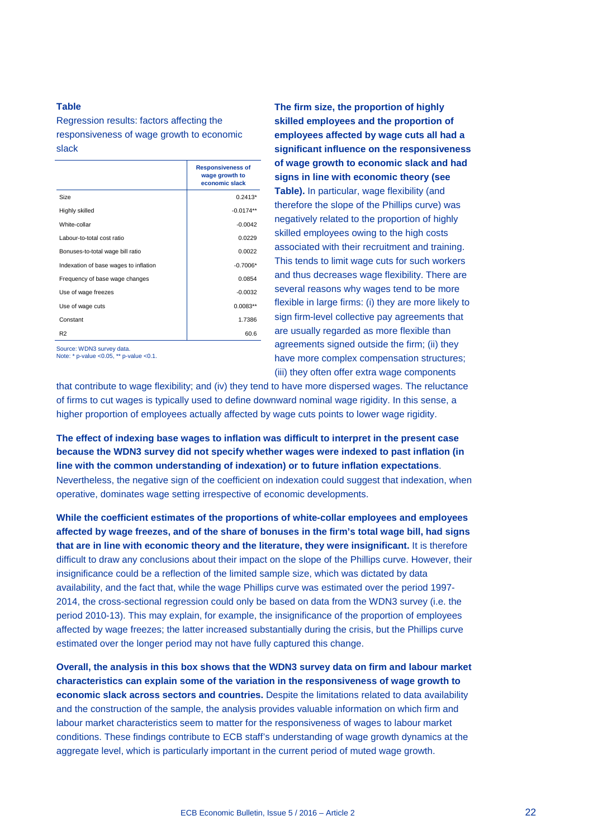#### <span id="page-21-0"></span>**Table**

Regression results: factors affecting the responsiveness of wage growth to economic slack

|                                       | <b>Responsiveness of</b><br>wage growth to<br>economic slack |
|---------------------------------------|--------------------------------------------------------------|
| Size                                  | $0.2413*$                                                    |
| Highly skilled                        | $-0.0174**$                                                  |
| White-collar                          | $-0.0042$                                                    |
| Labour-to-total cost ratio            | 0.0229                                                       |
| Bonuses-to-total wage bill ratio      | 0.0022                                                       |
| Indexation of base wages to inflation | $-0.7006*$                                                   |
| Frequency of base wage changes        | 0.0854                                                       |
| Use of wage freezes                   | $-0.0032$                                                    |
| Use of wage cuts                      | $0.0083**$                                                   |
| Constant                              | 1.7386                                                       |
| R <sub>2</sub>                        | 60.6                                                         |
| Source: WDN3 survey data              |                                                              |

Source: WDN3 survey data. Note: \* p-value <0.05, \*\* p-value <0.1.

**The firm size, the proportion of highly skilled employees and the proportion of employees affected by wage cuts all had a significant influence on the responsiveness of wage growth to economic slack and had signs in line with economic theory (see [Table\)](#page-21-0).** In particular, wage flexibility (and therefore the slope of the Phillips curve) was negatively related to the proportion of highly skilled employees owing to the high costs associated with their recruitment and training. This tends to limit wage cuts for such workers and thus decreases wage flexibility. There are several reasons why wages tend to be more flexible in large firms: (i) they are more likely to sign firm-level collective pay agreements that are usually regarded as more flexible than agreements signed outside the firm; (ii) they have more complex compensation structures; (iii) they often offer extra wage components

that contribute to wage flexibility; and (iv) they tend to have more dispersed wages. The reluctance of firms to cut wages is typically used to define downward nominal wage rigidity. In this sense, a higher proportion of employees actually affected by wage cuts points to lower wage rigidity.

**The effect of indexing base wages to inflation was difficult to interpret in the present case because the WDN3 survey did not specify whether wages were indexed to past inflation (in line with the common understanding of indexation) or to future inflation expectations**. Nevertheless, the negative sign of the coefficient on indexation could suggest that indexation, when operative, dominates wage setting irrespective of economic developments.

**While the coefficient estimates of the proportions of white-collar employees and employees affected by wage freezes, and of the share of bonuses in the firm's total wage bill, had signs that are in line with economic theory and the literature, they were insignificant.** It is therefore difficult to draw any conclusions about their impact on the slope of the Phillips curve. However, their insignificance could be a reflection of the limited sample size, which was dictated by data availability, and the fact that, while the wage Phillips curve was estimated over the period 1997- 2014, the cross-sectional regression could only be based on data from the WDN3 survey (i.e. the period 2010-13). This may explain, for example, the insignificance of the proportion of employees affected by wage freezes; the latter increased substantially during the crisis, but the Phillips curve estimated over the longer period may not have fully captured this change.

**Overall, the analysis in this box shows that the WDN3 survey data on firm and labour market characteristics can explain some of the variation in the responsiveness of wage growth to economic slack across sectors and countries.** Despite the limitations related to data availability and the construction of the sample, the analysis provides valuable information on which firm and labour market characteristics seem to matter for the responsiveness of wages to labour market conditions. These findings contribute to ECB staff's understanding of wage growth dynamics at the aggregate level, which is particularly important in the current period of muted wage growth.